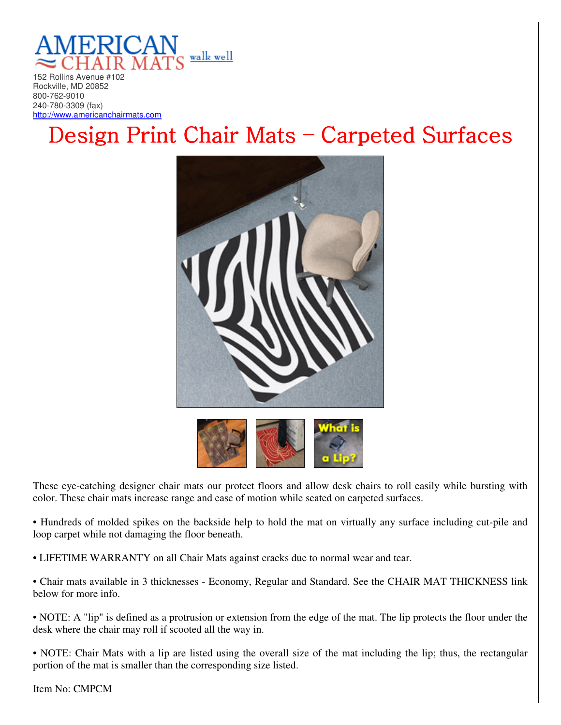

Rockville, MD 20852 800-762-9010 240-780-3309 (fax) http://www.americanchairmats.com

## Design Print Chair Mats – Carpeted Surfaces



|  | of is |
|--|-------|
|  |       |
|  |       |

These eye-catching designer chair mats our protect floors and allow desk chairs to roll easily while bursting with color. These chair mats increase range and ease of motion while seated on carpeted surfaces.

• Hundreds of molded spikes on the backside help to hold the mat on virtually any surface including cut-pile and loop carpet while not damaging the floor beneath.

• LIFETIME WARRANTY on all Chair Mats against cracks due to normal wear and tear.

• Chair mats available in 3 thicknesses - Economy, Regular and Standard. See the CHAIR MAT THICKNESS link below for more info.

• NOTE: A "lip" is defined as a protrusion or extension from the edge of the mat. The lip protects the floor under the desk where the chair may roll if scooted all the way in.

• NOTE: Chair Mats with a lip are listed using the overall size of the mat including the lip; thus, the rectangular portion of the mat is smaller than the corresponding size listed.

Item No: CMPCM